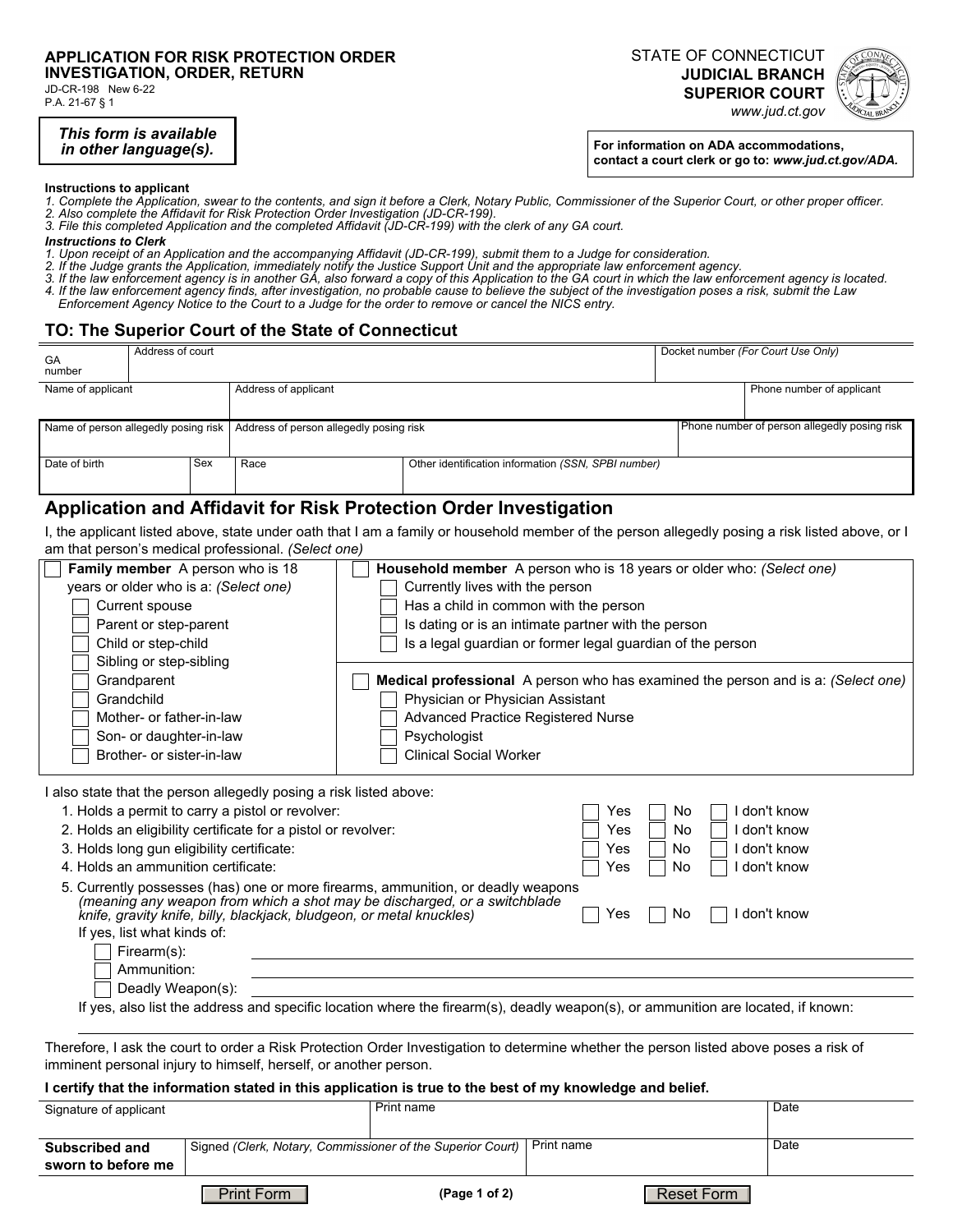#### **APPLICATION FOR RISK PROTECTION ORDER INVESTIGATION, ORDER, RETURN**

JD-CR-198 New 6-22 P.A. 21-67 § 1

> *This form is available in other language(s).*

STATE OF CONNECTICUT **JUDICIAL BRANCH SUPERIOR COURT** 



**For information on ADA accommodations, contact a court clerk or go to:** *www.jud.ct.gov/ADA.*

*www.jud.ct.gov*

#### **Instructions to applicant**

- *1. Complete the Application, swear to the contents, and sign it before a Clerk, Notary Public, Commissioner of the Superior Court, or other proper officer.*
- *2. Also complete the Affidavit for Risk Protection Order Investigation (JD-CR-199).*
- *3. File this completed Application and the completed Affidavit (JD-CR-199) with the clerk of any GA court.*

#### *Instructions to Clerk*

- *1. Upon receipt of an Application and the accompanying Affidavit (JD-CR-199), submit them to a Judge for consideration.*
- *2. If the Judge grants the Application, immediately notify the Justice Support Unit and the appropriate law enforcement agency.*
- *3. If the law enforcement agency is in another GA, also forward a copy of this Application to the GA court in which the law enforcement agency is located. 4. If the law enforcement agency finds, after investigation, no probable cause to believe the subject of the investigation poses a risk, submit the Law Enforcement Agency Notice to the Court to a Judge for the order to remove or cancel the NICS entry.*

### **TO: The Superior Court of the State of Connecticut**

| GA<br>number                         | Address of court |     |                                         |  |                                                     |                           | Docket number (For Court Use Only) |
|--------------------------------------|------------------|-----|-----------------------------------------|--|-----------------------------------------------------|---------------------------|------------------------------------|
| Name of applicant                    |                  |     | Address of applicant                    |  |                                                     | Phone number of applicant |                                    |
| Name of person allegedly posing risk |                  |     | Address of person allegedly posing risk |  | Phone number of person allegedly posing risk        |                           |                                    |
| Date of birth                        |                  | Sex | Race                                    |  | Other identification information (SSN, SPBI number) |                           |                                    |

## **Application and Affidavit for Risk Protection Order Investigation**

I, the applicant listed above, state under oath that I am a family or household member of the person allegedly posing a risk listed above, or I am that person's medical professional. *(Select one)*

| Family member A person who is 18                                                                                                                  | Household member A person who is 18 years or older who: (Select one)                                                                   |             |  |  |
|---------------------------------------------------------------------------------------------------------------------------------------------------|----------------------------------------------------------------------------------------------------------------------------------------|-------------|--|--|
| years or older who is a: (Select one)                                                                                                             | Currently lives with the person                                                                                                        |             |  |  |
| Current spouse                                                                                                                                    | Has a child in common with the person                                                                                                  |             |  |  |
| Parent or step-parent                                                                                                                             | Is dating or is an intimate partner with the person                                                                                    |             |  |  |
| Child or step-child                                                                                                                               | Is a legal guardian or former legal guardian of the person                                                                             |             |  |  |
| Sibling or step-sibling                                                                                                                           |                                                                                                                                        |             |  |  |
| Grandparent                                                                                                                                       | <b>Medical professional</b> A person who has examined the person and is a: (Select one)                                                |             |  |  |
| Grandchild                                                                                                                                        | Physician or Physician Assistant                                                                                                       |             |  |  |
| Mother- or father-in-law                                                                                                                          | Advanced Practice Registered Nurse                                                                                                     |             |  |  |
| Son- or daughter-in-law                                                                                                                           | Psychologist                                                                                                                           |             |  |  |
| Brother- or sister-in-law                                                                                                                         | <b>Clinical Social Worker</b>                                                                                                          |             |  |  |
| I also state that the person allegedly posing a risk listed above:                                                                                |                                                                                                                                        |             |  |  |
| 1. Holds a permit to carry a pistol or revolver:                                                                                                  | No<br>Yes                                                                                                                              | don't know  |  |  |
| 2. Holds an eligibility certificate for a pistol or revolver:<br>No<br>don't know<br>Yes                                                          |                                                                                                                                        |             |  |  |
| 3. Holds long gun eligibility certificate:                                                                                                        | No<br>Yes                                                                                                                              | don't know  |  |  |
| 4. Holds an ammunition certificate:<br>don't know<br>No<br>Yes                                                                                    |                                                                                                                                        |             |  |  |
| 5. Currently possesses (has) one or more firearms, ammunition, or deadly weapons                                                                  |                                                                                                                                        |             |  |  |
| (meaning any weapon from which a shot may be discharged, or a switchblade<br>knife, gravity knife, billy, blackjack, bludgeon, or metal knuckles) | No<br>Yes                                                                                                                              | don't know  |  |  |
| If yes, list what kinds of:                                                                                                                       |                                                                                                                                        |             |  |  |
| Firearm(s):                                                                                                                                       |                                                                                                                                        |             |  |  |
| Ammunition:                                                                                                                                       |                                                                                                                                        |             |  |  |
| Deadly Weapon(s):                                                                                                                                 |                                                                                                                                        |             |  |  |
| If yes, also list the address and specific location where the firearm(s), deadly weapon(s), or ammunition are located, if known:                  |                                                                                                                                        |             |  |  |
|                                                                                                                                                   |                                                                                                                                        |             |  |  |
|                                                                                                                                                   | Therefore, I ask the court to order a Risk Protection Order Investigation to determine whether the person listed above poses a risk of |             |  |  |
| imminent personal injury to himself, herself, or another person.                                                                                  |                                                                                                                                        |             |  |  |
|                                                                                                                                                   | I certify that the information stated in this application is true to the best of my knowledge and belief.                              |             |  |  |
| Signature of applicant                                                                                                                            | <b>Print name</b>                                                                                                                      | <b>Date</b> |  |  |
| Subscribed and                                                                                                                                    | Print name<br>Signed (Clerk, Notary, Commissioner of the Superior Court)                                                               | Date        |  |  |

**sworn to before me**

Print Form **Prince Form** (Page 1 of 2) Reset Form